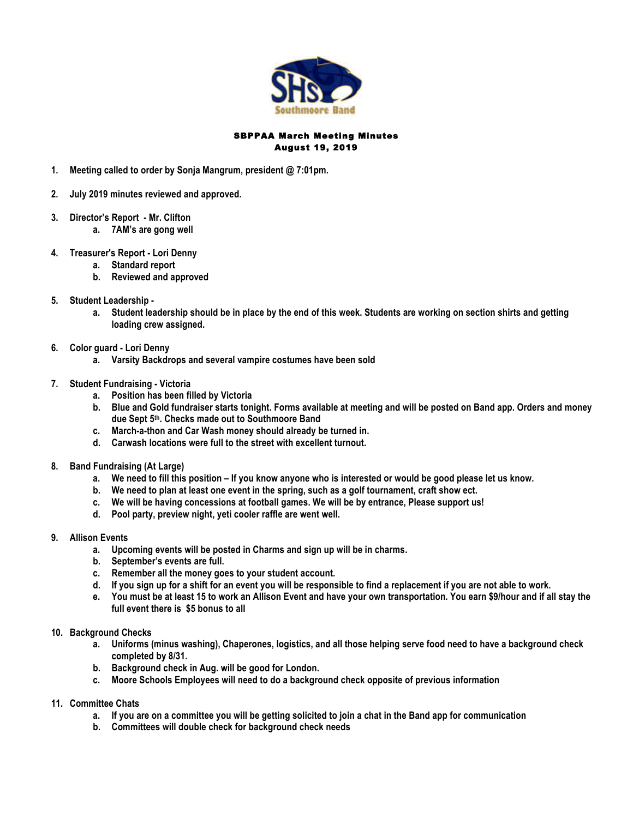

## SBPPAA March Meeting Minutes August 19, 2019

- **1. Meeting called to order by Sonja Mangrum, president @ 7:01pm.**
- **2. July 2019 minutes reviewed and approved.**
- **3. Director's Report - Mr. Clifton**
	- **a. 7AM's are gong well**
- **4. Treasurer's Report - Lori Denny**
	- **a. Standard report**
	- **b. Reviewed and approved**
- **5. Student Leadership** 
	- **a. Student leadership should be in place by the end of this week. Students are working on section shirts and getting loading crew assigned.**
- **6. Color guard - Lori Denny**
	- **a. Varsity Backdrops and several vampire costumes have been sold**
- **7. Student Fundraising - Victoria**
	- **a. Position has been filled by Victoria**
	- **b. Blue and Gold fundraiser starts tonight. Forms available at meeting and will be posted on Band app. Orders and money due Sept 5th. Checks made out to Southmoore Band**
	- **c. March-a-thon and Car Wash money should already be turned in.**
	- **d. Carwash locations were full to the street with excellent turnout.**
- **8. Band Fundraising (At Large)**
	- **a. We need to fill this position – If you know anyone who is interested or would be good please let us know.**
	- **b. We need to plan at least one event in the spring, such as a golf tournament, craft show ect.**
	- **c. We will be having concessions at football games. We will be by entrance, Please support us!**
	- **d. Pool party, preview night, yeti cooler raffle are went well.**
- **9. Allison Events**
	- **a. Upcoming events will be posted in Charms and sign up will be in charms.**
	- **b. September's events are full.**
	- **c. Remember all the money goes to your student account.**
	- **d. If you sign up for a shift for an event you will be responsible to find a replacement if you are not able to work.**
	- **e. You must be at least 15 to work an Allison Event and have your own transportation. You earn \$9/hour and if all stay the full event there is \$5 bonus to all**
- **10. Background Checks**
	- **a. Uniforms (minus washing), Chaperones, logistics, and all those helping serve food need to have a background check completed by 8/31.**
	- **b. Background check in Aug. will be good for London.**
	- **c. Moore Schools Employees will need to do a background check opposite of previous information**
- **11. Committee Chats**
	- **a. If you are on a committee you will be getting solicited to join a chat in the Band app for communication**
	- **b. Committees will double check for background check needs**